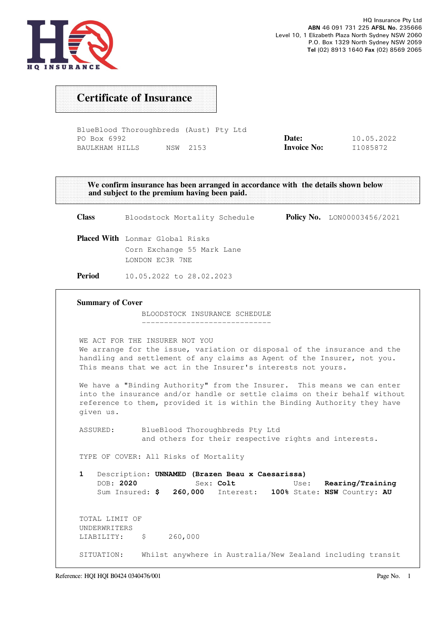

## Certificate of Insurance

BlueBlood Thoroughbreds (Aust) Pty Ltd PO Box 6992 BAULKHAM HILLS NSW 2153 Date: Invoice No: 10.05.2022 I1085872

We confirm insurance has been arranged in accordance with the details shown below and subject to the premium having been paid. Class Bloodstock Mortality Schedule Policy No. LON00003456/2021 Placed With Lonmar Global Risks Corn Exchange 55 Mark Lane LONDON EC3R 7NE Period 10.05.2022 to 28.02.2023 Summary of Cover BLOODSTOCK INSURANCE SCHEDULE ----------------------------- WE ACT FOR THE INSURER NOT YOU We arrange for the issue, variation or disposal of the insurance and the handling and settlement of any claims as Agent of the Insurer, not you. This means that we act in the Insurer's interests not yours. We have a "Binding Authority" from the Insurer. This means we can enter into the insurance and/or handle or settle claims on their behalf without reference to them, provided it is within the Binding Authority they have given us. ASSURED: BlueBlood Thoroughbreds Pty Ltd and others for their respective rights and interests. TYPE OF COVER: All Risks of Mortality 1 Description: UNNAMED (Brazen Beau x Caesarissa) DOB: 2020 Sex: Colt Use: Rearing/Training Sum Insured: \$ 260,000 Interest: 100% State: NSW Country: AU TOTAL LIMIT OF UNDERWRITERS LIABILITY: \$ 260,000 SITUATION: Whilst anywhere in Australia/New Zealand including transit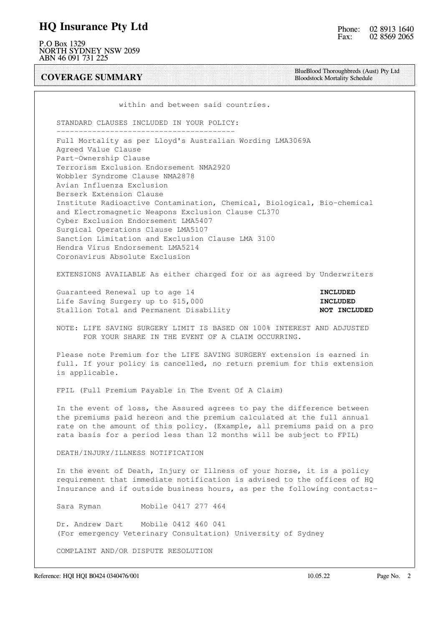#### HQ Insurance Pty Ltd

P.O Box 1329 NORTH SYDNEY NSW 2059 ABN 46 091 731 225

COVERAGE SUMMARY

BlueBlood Thoroughbreds (Aust) Pty Ltd Bloodstock Mortality Schedule

within and between said countries.

 STANDARD CLAUSES INCLUDED IN YOUR POLICY: ----------------------------------------

 Full Mortality as per Lloyd's Australian Wording LMA3069A Agreed Value Clause Part-Ownership Clause Terrorism Exclusion Endorsement NMA2920 Wobbler Syndrome Clause NMA2878 Avian Influenza Exclusion Berserk Extension Clause Institute Radioactive Contamination, Chemical, Biological, Bio-chemical and Electromagnetic Weapons Exclusion Clause CL370 Cyber Exclusion Endorsement LMA5407 Surgical Operations Clause LMA5107 Sanction Limitation and Exclusion Clause LMA 3100 Hendra Virus Endorsement LMA5214 Coronavirus Absolute Exclusion

EXTENSIONS AVAILABLE As either charged for or as agreed by Underwriters

Guaranteed Renewal up to age 14 Incrementation of the Contract of the Contract of the Contract of the Contract o Life Saving Surgery up to \$15,000 **INCLUDED** Stallion Total and Permanent Disability NOT INCLUDED

 NOTE: LIFE SAVING SURGERY LIMIT IS BASED ON 100% INTEREST AND ADJUSTED FOR YOUR SHARE IN THE EVENT OF A CLAIM OCCURRING.

 Please note Premium for the LIFE SAVING SURGERY extension is earned in full. If your policy is cancelled, no return premium for this extension is applicable.

FPIL (Full Premium Payable in The Event Of A Claim)

 In the event of loss, the Assured agrees to pay the difference between the premiums paid hereon and the premium calculated at the full annual rate on the amount of this policy. (Example, all premiums paid on a pro rata basis for a period less than 12 months will be subject to FPIL)

DEATH/INJURY/ILLNESS NOTIFICATION

 In the event of Death, Injury or Illness of your horse, it is a policy requirement that immediate notification is advised to the offices of HQ Insurance and if outside business hours, as per the following contacts:-

Sara Ryman Mobile 0417 277 464

 Dr. Andrew Dart Mobile 0412 460 041 (For emergency Veterinary Consultation) University of Sydney

COMPLAINT AND/OR DISPUTE RESOLUTION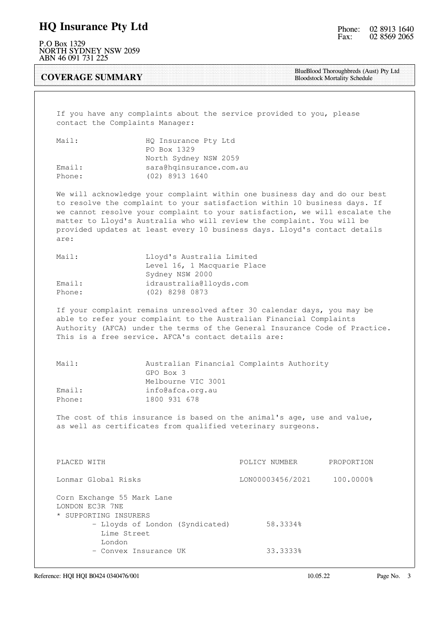### HQ Insurance Pty Ltd

P.O Box 1329 NORTH SYDNEY NSW 2059 ABN 46 091 731 225

COVERAGE SUMMARY

BlueBlood Thoroughbreds (Aust) Pty Ltd Bloodstock Mortality Schedule

 If you have any complaints about the service provided to you, please contact the Complaints Manager:

| Mail:  | HQ Insurance Pty Ltd    |
|--------|-------------------------|
|        | PO Box 1329             |
|        | North Sydney NSW 2059   |
| Email: | sara@hqinsurance.com.au |
| Phone: | (02) 8913 1640          |

 We will acknowledge your complaint within one business day and do our best to resolve the complaint to your satisfaction within 10 business days. If we cannot resolve your complaint to your satisfaction, we will escalate the matter to Lloyd's Australia who will review the complaint. You will be provided updates at least every 10 business days. Lloyd's contact details are:

| Mail:  | Lloyd's Australia Limited   |
|--------|-----------------------------|
|        | Level 16, 1 Macquarie Place |
|        | Sydney NSW 2000             |
| Email: | idraustralia@lloyds.com     |
| Phone: | (02) 8298 0873              |

 If your complaint remains unresolved after 30 calendar days, you may be able to refer your complaint to the Australian Financial Complaints Authority (AFCA) under the terms of the General Insurance Code of Practice. This is a free service. AFCA's contact details are:

| Mail:  | Australian Financial Complaints Authority |  |
|--------|-------------------------------------------|--|
|        | GPO Box 3                                 |  |
|        | Melbourne VIC 3001                        |  |
| Email: | info@afca.org.au                          |  |
| Phone: | 1800 931 678                              |  |

 The cost of this insurance is based on the animal's age, use and value, as well as certificates from qualified veterinary surgeons.

| PLACED WITH                                                                                                                        | POLICY NUMBER    | PROPORTION |
|------------------------------------------------------------------------------------------------------------------------------------|------------------|------------|
| Lonmar Global Risks                                                                                                                | LON00003456/2021 | 100.0000%  |
| Corn Exchange 55 Mark Lane<br>LONDON EC3R 7NE<br>* SUPPORTING INSURERS<br>- Lloyds of London (Syndicated)<br>Lime Street<br>London | 58.3334%         |            |
| - Convex Insurance UK                                                                                                              | 33.3333%         |            |